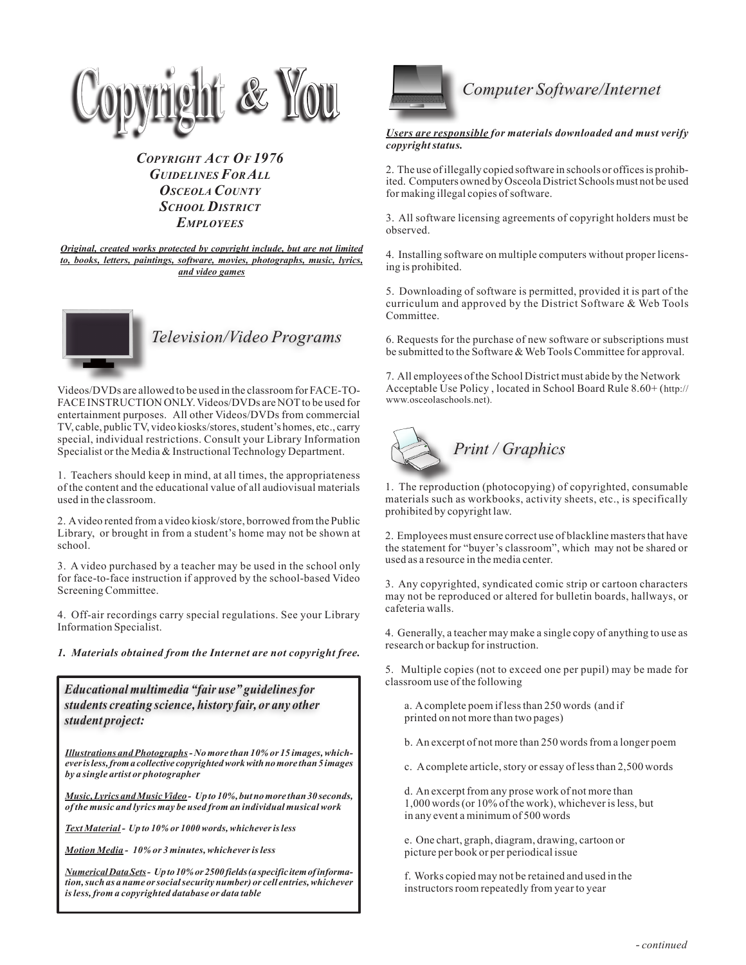

*Copyright Act Of 1976 Guidelines For All Osceola County School District Employees*

*Original, created works protected by copyright include, but are not limited to, books, letters, paintings, software, movies, photographs, music, lyrics, and video games*



## *Television/Video Programs*

Videos/DVDs are allowed to be used in the classroom for FACE-TO-FACE INSTRUCTION ONLY. Videos/DVDs are NOT to be used for entertainment purposes. All other Videos/DVDs from commercial TV, cable, public TV, video kiosks/stores, student's homes, etc., carry special, individual restrictions. Consult your Library Information Specialist or the Media & Instructional Technology Department.

1. Teachers should keep in mind, at all times, the appropriateness of the content and the educational value of all audiovisual materials used in the classroom.

2. A video rented from a video kiosk/store, borrowed from the Public Library, or brought in from a student's home may not be shown at school.

3. A video purchased by a teacher may be used in the school only for face-to-face instruction if approved by the school-based Video Screening Committee.

4. Off-air recordings carry special regulations. See your Library Information Specialist.

*1. Materials obtained from the Internet are not copyright free.* 

*Educational multimedia "fair use" guidelines for students creating science, history fair, or any other student project:*

*Illustrations and Photographs - No more than 10% or 15 images, whichever is less, from a collective copyrighted work with no more than 5 images by a single artist or photographer*

*Music, Lyrics and Music Video - Up to 10%, but no more than 30 seconds, of the music and lyrics may be used from an individual musical work*

*Text Material - Up to 10% or 1000 words, whichever is less*

*Motion Media - 10% or 3 minutes, whichever is less*

*Numerical Data Sets - Up to 10% or 2500 fields (a specific item of information, such as a name or social security number) or cell entries, whichever is less, from a copyrighted database or data table*



*Users are responsible for materials downloaded and must verify copyright status.*

2. The use of illegally copied software in schools or offices is prohibited. Computers owned by Osceola District Schools must not be used for making illegal copies of software.

3. All software licensing agreements of copyright holders must be observed.

4. Installing software on multiple computers without proper licensing is prohibited.

5. Downloading of software is permitted, provided it is part of the curriculum and approved by the District Software & Web Tools Committee.

6. Requests for the purchase of new software or subscriptions must be submitted to the Software & Web Tools Committee for approval.

7. All employees of the School District must abide by the Network Acceptable Use Policy , located in School Board Rule 8.60+ (http:// www.osceolaschools.net).



1. The reproduction (photocopying) of copyrighted, consumable materials such as workbooks, activity sheets, etc., is specifically prohibited by copyright law.

2. Employees must ensure correct use of blackline masters that have the statement for "buyer's classroom", which may not be shared or used as a resource in the media center.

3. Any copyrighted, syndicated comic strip or cartoon characters may not be reproduced or altered for bulletin boards, hallways, or cafeteria walls.

4. Generally, a teacher may make a single copy of anything to use as research or backup for instruction.

5. Multiple copies (not to exceed one per pupil) may be made for classroom use of the following

a. A complete poem if less than 250 words (and if printed on not more than two pages)

b. An excerpt of not more than 250 words from a longer poem

c. A complete article, story or essay of less than 2,500 words

d. An excerpt from any prose work of not more than 1,000 words (or 10% of the work), whichever is less, but in any event a minimum of 500 words

e. One chart, graph, diagram, drawing, cartoon or picture per book or per periodical issue

f. Works copied may not be retained and used in the instructors room repeatedly from year to year